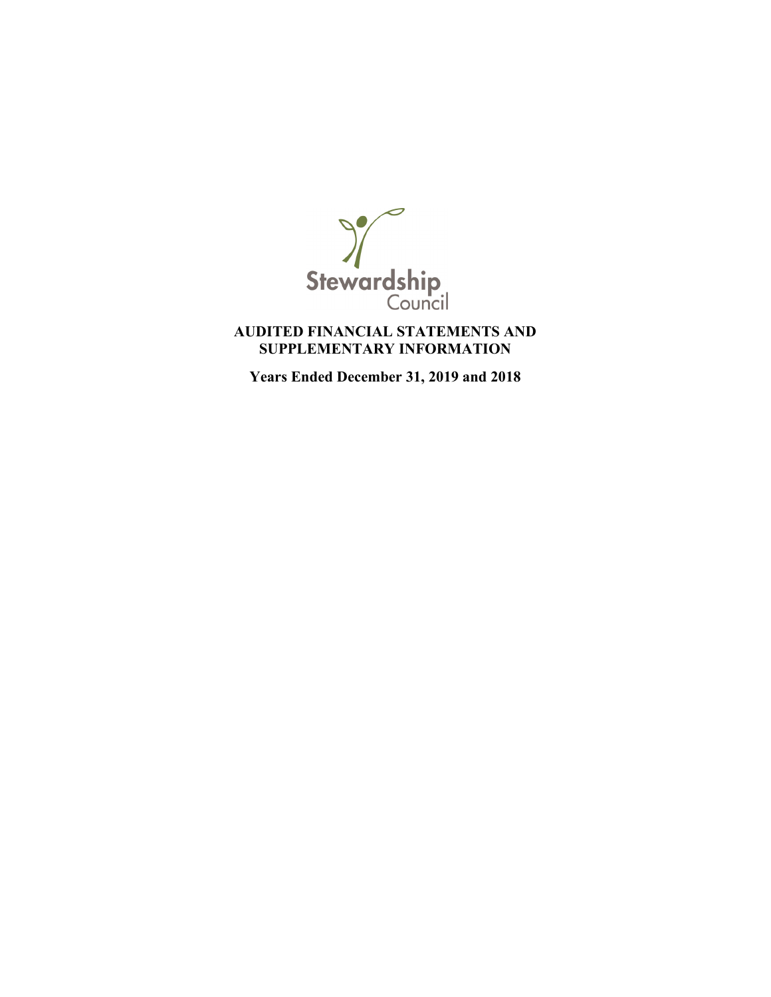

## **AUDITED FINANCIAL STATEMENTS AND SUPPLEMENTARY INFORMATION**

**Years Ended December 31, 2019 and 2018**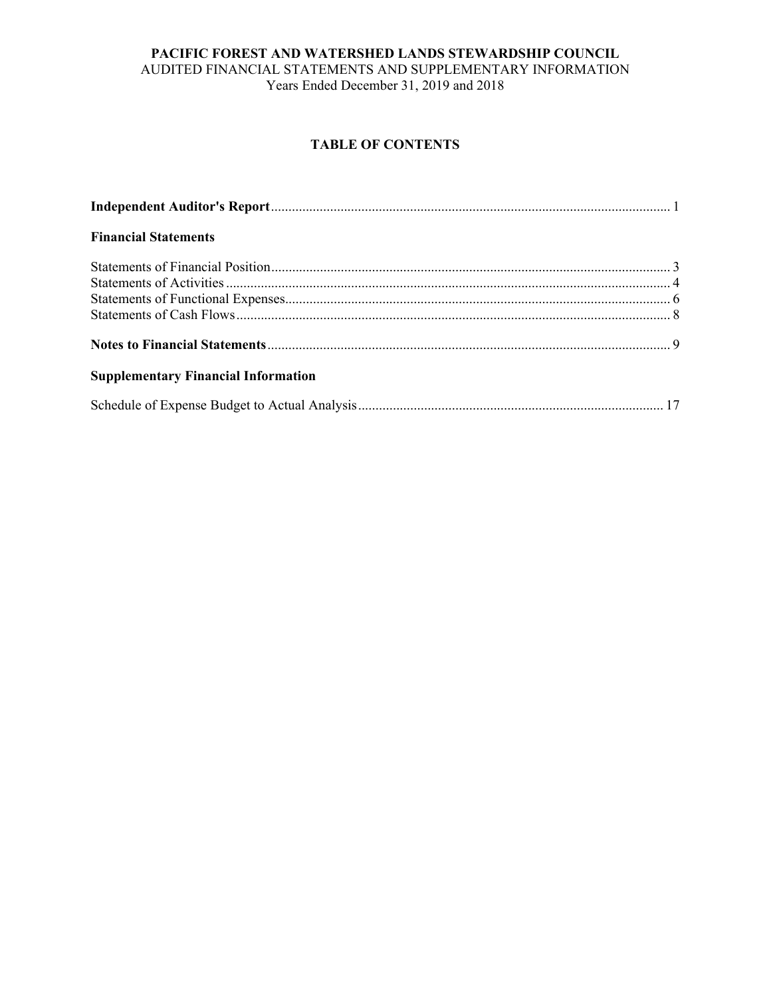#### **PACIFIC FOREST AND WATERSHED LANDS STEWARDSHIP COUNCIL**  AUDITED FINANCIAL STATEMENTS AND SUPPLEMENTARY INFORMATION Years Ended December 31, 2019 and 2018

## **TABLE OF CONTENTS**

| <b>Financial Statements</b>                |  |
|--------------------------------------------|--|
|                                            |  |
|                                            |  |
|                                            |  |
|                                            |  |
|                                            |  |
| <b>Supplementary Financial Information</b> |  |
|                                            |  |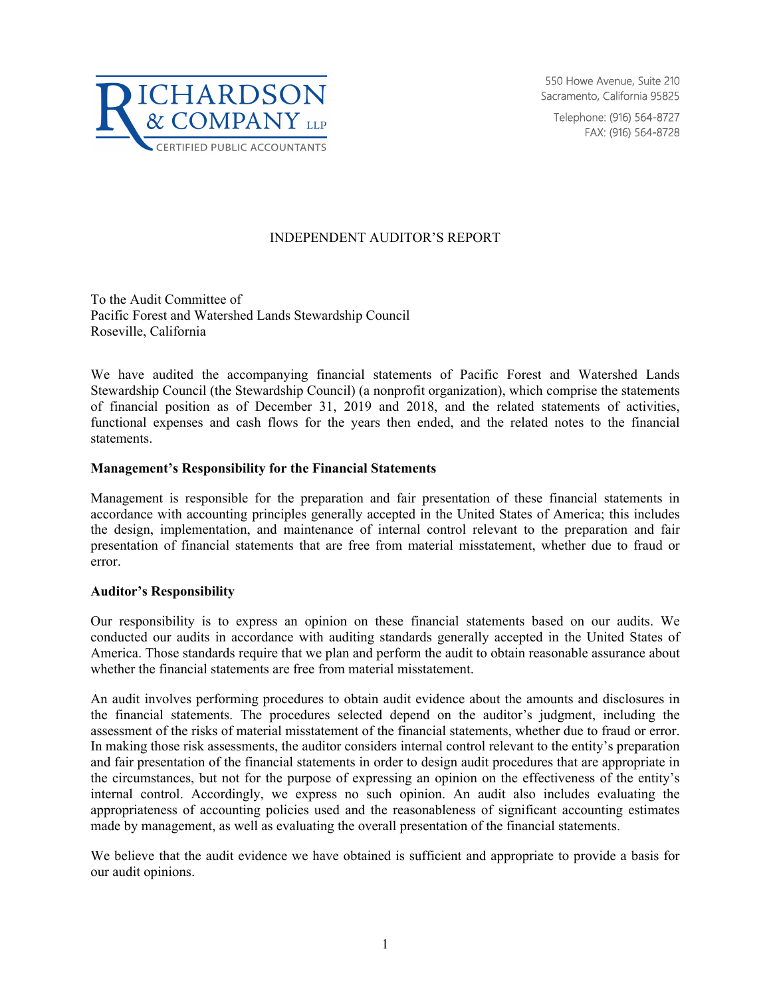

550 Howe Avenue, Suite 210 Sacramento, California 95825

Telephone: (916) 564-8727 FAX: (916) 564-8728

#### INDEPENDENT AUDITOR'S REPORT

To the Audit Committee of Pacific Forest and Watershed Lands Stewardship Council Roseville, California

We have audited the accompanying financial statements of Pacific Forest and Watershed Lands Stewardship Council (the Stewardship Council) (a nonprofit organization), which comprise the statements of financial position as of December 31, 2019 and 2018, and the related statements of activities, functional expenses and cash flows for the years then ended, and the related notes to the financial statements.

#### **Management's Responsibility for the Financial Statements**

Management is responsible for the preparation and fair presentation of these financial statements in accordance with accounting principles generally accepted in the United States of America; this includes the design, implementation, and maintenance of internal control relevant to the preparation and fair presentation of financial statements that are free from material misstatement, whether due to fraud or error.

#### **Auditor's Responsibility**

Our responsibility is to express an opinion on these financial statements based on our audits. We conducted our audits in accordance with auditing standards generally accepted in the United States of America. Those standards require that we plan and perform the audit to obtain reasonable assurance about whether the financial statements are free from material misstatement.

An audit involves performing procedures to obtain audit evidence about the amounts and disclosures in the financial statements. The procedures selected depend on the auditor's judgment, including the assessment of the risks of material misstatement of the financial statements, whether due to fraud or error. In making those risk assessments, the auditor considers internal control relevant to the entity's preparation and fair presentation of the financial statements in order to design audit procedures that are appropriate in the circumstances, but not for the purpose of expressing an opinion on the effectiveness of the entity's internal control. Accordingly, we express no such opinion. An audit also includes evaluating the appropriateness of accounting policies used and the reasonableness of significant accounting estimates made by management, as well as evaluating the overall presentation of the financial statements.

We believe that the audit evidence we have obtained is sufficient and appropriate to provide a basis for our audit opinions.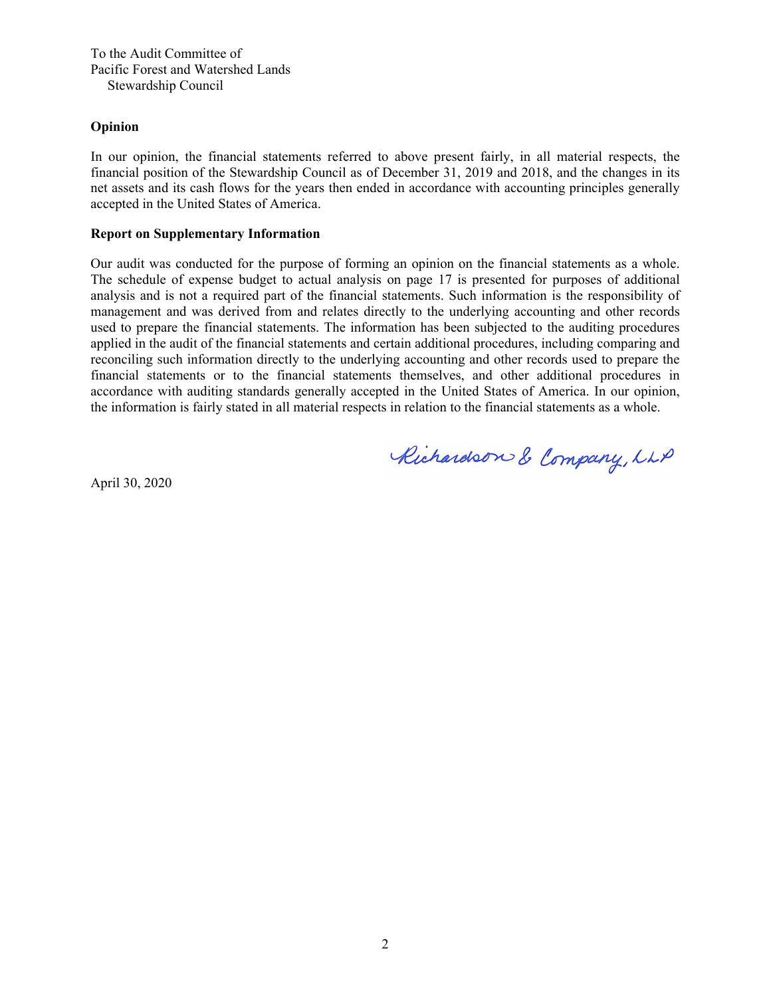To the Audit Committee of Pacific Forest and Watershed Lands Stewardship Council

#### **Opinion**

In our opinion, the financial statements referred to above present fairly, in all material respects, the financial position of the Stewardship Council as of December 31, 2019 and 2018, and the changes in its net assets and its cash flows for the years then ended in accordance with accounting principles generally accepted in the United States of America.

#### **Report on Supplementary Information**

Our audit was conducted for the purpose of forming an opinion on the financial statements as a whole. The schedule of expense budget to actual analysis on page 17 is presented for purposes of additional analysis and is not a required part of the financial statements. Such information is the responsibility of management and was derived from and relates directly to the underlying accounting and other records used to prepare the financial statements. The information has been subjected to the auditing procedures applied in the audit of the financial statements and certain additional procedures, including comparing and reconciling such information directly to the underlying accounting and other records used to prepare the financial statements or to the financial statements themselves, and other additional procedures in accordance with auditing standards generally accepted in the United States of America. In our opinion, the information is fairly stated in all material respects in relation to the financial statements as a whole.

Richardson & Company, LLP

April 30, 2020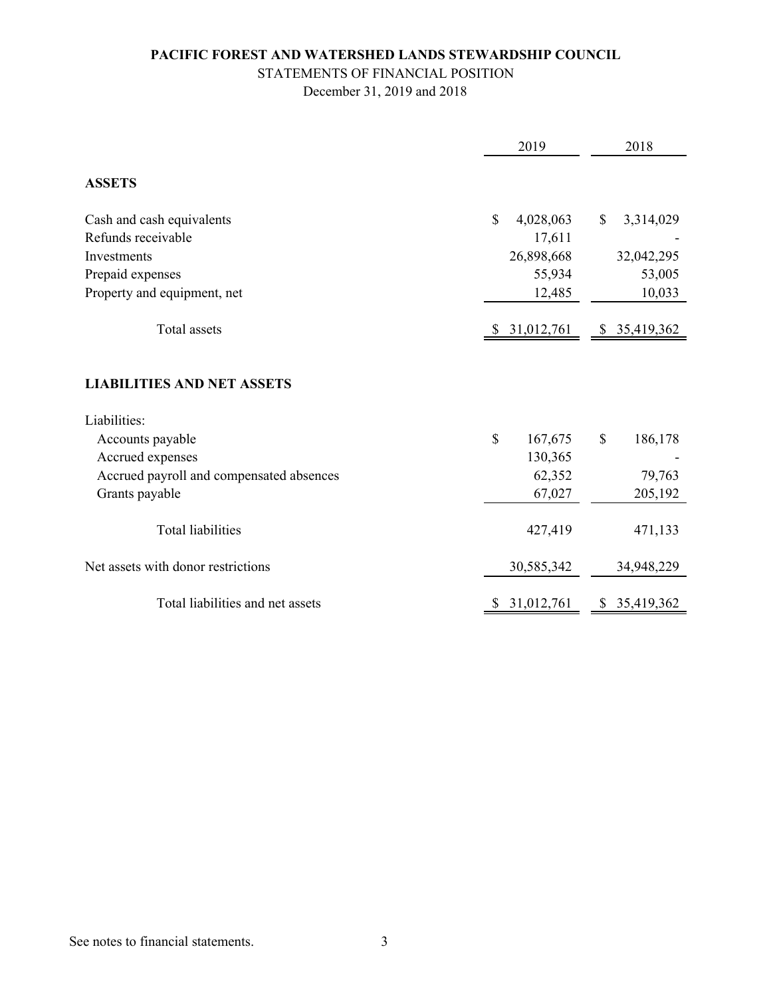# STATEMENTS OF FINANCIAL POSITION

December 31, 2019 and 2018

|                                                   | 2019                      | 2018                      |
|---------------------------------------------------|---------------------------|---------------------------|
| <b>ASSETS</b>                                     |                           |                           |
| Cash and cash equivalents                         | $\mathbb{S}$<br>4,028,063 | $\mathbb{S}$<br>3,314,029 |
| Refunds receivable                                | 17,611                    |                           |
| Investments                                       | 26,898,668                | 32,042,295                |
| Prepaid expenses                                  | 55,934                    | 53,005                    |
| Property and equipment, net                       | 12,485                    | 10,033                    |
| Total assets                                      | 31,012,761                | \$35,419,362              |
| <b>LIABILITIES AND NET ASSETS</b><br>Liabilities: |                           |                           |
| Accounts payable                                  | $\mathcal{S}$<br>167,675  | $\mathbb{S}$<br>186,178   |
| Accrued expenses                                  | 130,365                   |                           |
| Accrued payroll and compensated absences          | 62,352                    | 79,763                    |
| Grants payable                                    | 67,027                    | 205,192                   |
| <b>Total liabilities</b>                          | 427,419                   | 471,133                   |
| Net assets with donor restrictions                | 30,585,342                | 34,948,229                |
| Total liabilities and net assets                  | 31,012,761<br>\$          | 35,419,362<br>\$          |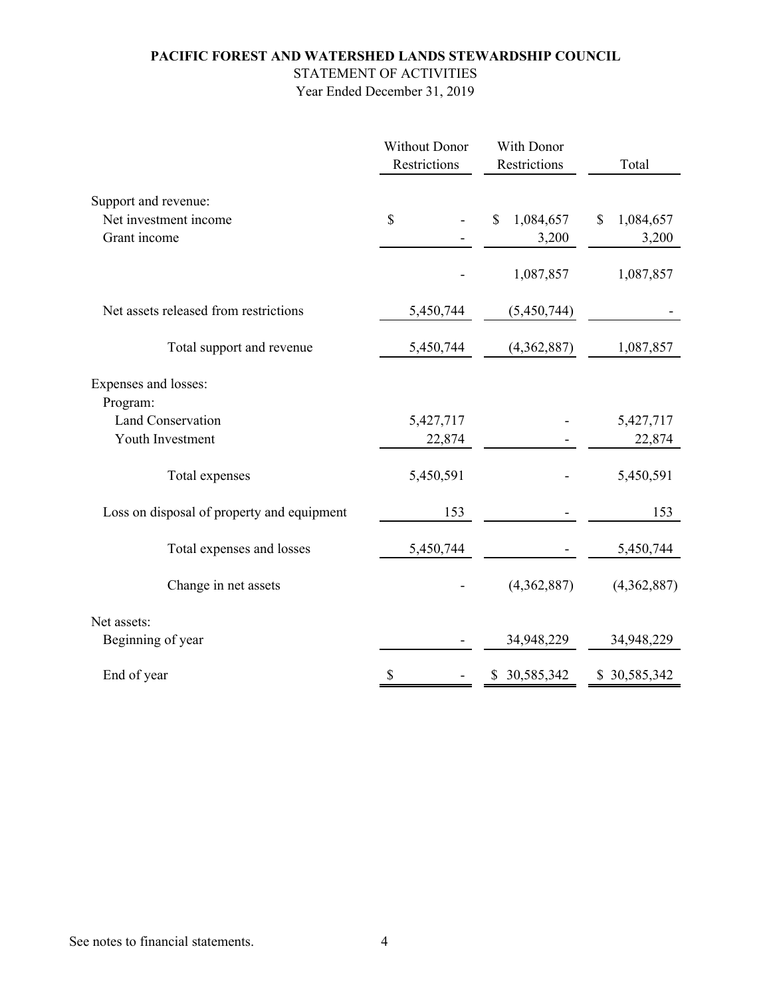# STATEMENT OF ACTIVITIES

|                                            | <b>Without Donor</b><br>Restrictions | With Donor<br>Restrictions | Total           |  |
|--------------------------------------------|--------------------------------------|----------------------------|-----------------|--|
| Support and revenue:                       |                                      |                            |                 |  |
| Net investment income                      | \$                                   | \$<br>1,084,657            | \$<br>1,084,657 |  |
| Grant income                               |                                      | 3,200                      | 3,200           |  |
|                                            |                                      | 1,087,857                  | 1,087,857       |  |
| Net assets released from restrictions      | 5,450,744                            | (5,450,744)                |                 |  |
| Total support and revenue                  | 5,450,744                            | (4,362,887)                | 1,087,857       |  |
| Expenses and losses:                       |                                      |                            |                 |  |
| Program:                                   |                                      |                            |                 |  |
| Land Conservation                          | 5,427,717                            |                            | 5,427,717       |  |
| Youth Investment                           | 22,874                               |                            | 22,874          |  |
| Total expenses                             | 5,450,591                            |                            | 5,450,591       |  |
| Loss on disposal of property and equipment | 153                                  |                            | 153             |  |
| Total expenses and losses                  | 5,450,744                            |                            | 5,450,744       |  |
| Change in net assets                       |                                      | (4,362,887)                | (4,362,887)     |  |
| Net assets:                                |                                      |                            |                 |  |
| Beginning of year                          |                                      | 34,948,229                 | 34,948,229      |  |
| End of year                                | \$                                   | \$ 30,585,342              | \$30,585,342    |  |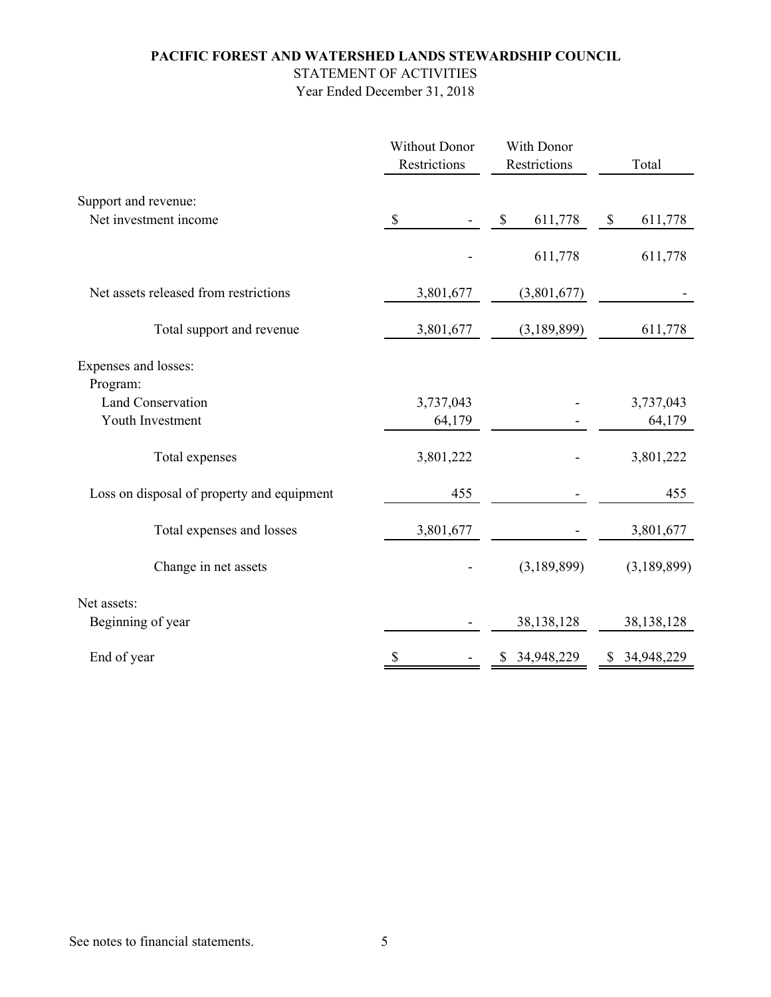STATEMENT OF ACTIVITIES

| <b>Without Donor</b><br>Restrictions       |                           | With Donor<br>Restrictions | Total                  |
|--------------------------------------------|---------------------------|----------------------------|------------------------|
| Support and revenue:                       |                           |                            |                        |
| Net investment income                      | $\boldsymbol{\mathsf{S}}$ | \$<br>611,778              | $\mathbb S$<br>611,778 |
|                                            |                           | 611,778                    | 611,778                |
| Net assets released from restrictions      | 3,801,677                 | (3,801,677)                |                        |
| Total support and revenue                  | 3,801,677                 | (3,189,899)                | 611,778                |
| Expenses and losses:                       |                           |                            |                        |
| Program:                                   |                           |                            |                        |
| Land Conservation                          | 3,737,043                 |                            | 3,737,043              |
| Youth Investment                           | 64,179                    |                            | 64,179                 |
| Total expenses                             | 3,801,222                 |                            | 3,801,222              |
| Loss on disposal of property and equipment | 455                       |                            | 455                    |
| Total expenses and losses                  | 3,801,677                 |                            | 3,801,677              |
| Change in net assets                       |                           | (3,189,899)                | (3,189,899)            |
| Net assets:                                |                           |                            |                        |
| Beginning of year                          |                           | 38,138,128                 | 38,138,128             |
| End of year                                | \$                        | \$ 34,948,229              | \$ 34,948,229          |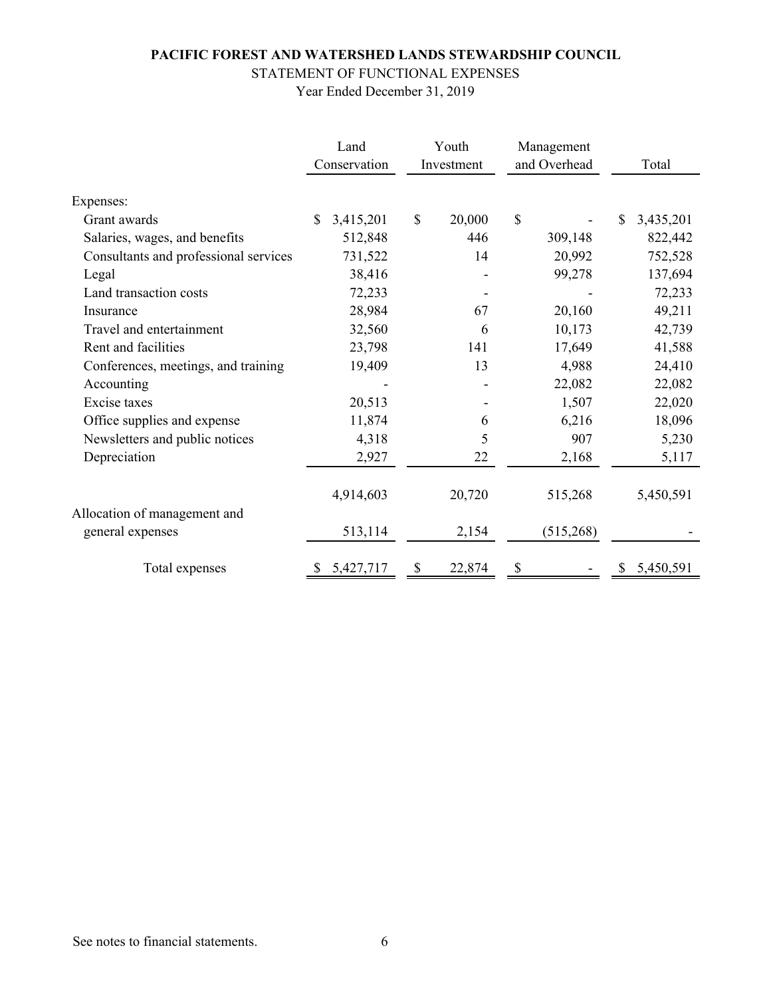# STATEMENT OF FUNCTIONAL EXPENSES

|                                       | Land                      | Youth                  | Management   |                 |
|---------------------------------------|---------------------------|------------------------|--------------|-----------------|
|                                       | Conservation              | Investment             | and Overhead | Total           |
| Expenses:                             |                           |                        |              |                 |
| Grant awards                          | $\mathbb{S}$<br>3,415,201 | $\mathbb{S}$<br>20,000 | \$           | \$<br>3,435,201 |
| Salaries, wages, and benefits         | 512,848                   | 446                    | 309,148      | 822,442         |
| Consultants and professional services | 731,522                   | 14                     | 20,992       | 752,528         |
| Legal                                 | 38,416                    |                        | 99,278       | 137,694         |
| Land transaction costs                | 72,233                    |                        |              | 72,233          |
| Insurance                             | 28,984                    | 67                     | 20,160       | 49,211          |
| Travel and entertainment              | 32,560                    | 6                      | 10,173       | 42,739          |
| Rent and facilities                   | 23,798                    | 141                    | 17,649       | 41,588          |
| Conferences, meetings, and training   | 19,409                    | 13                     | 4,988        | 24,410          |
| Accounting                            |                           |                        | 22,082       | 22,082          |
| Excise taxes                          | 20,513                    |                        | 1,507        | 22,020          |
| Office supplies and expense           | 11,874                    | 6                      | 6,216        | 18,096          |
| Newsletters and public notices        | 4,318                     | 5                      | 907          | 5,230           |
| Depreciation                          | 2,927                     | 22                     | 2,168        | 5,117           |
|                                       | 4,914,603                 | 20,720                 | 515,268      | 5,450,591       |
| Allocation of management and          |                           |                        |              |                 |
| general expenses                      | 513,114                   | 2,154                  | (515,268)    |                 |
| Total expenses                        | 5,427,717                 | 22,874<br>P            |              | 5,450,591       |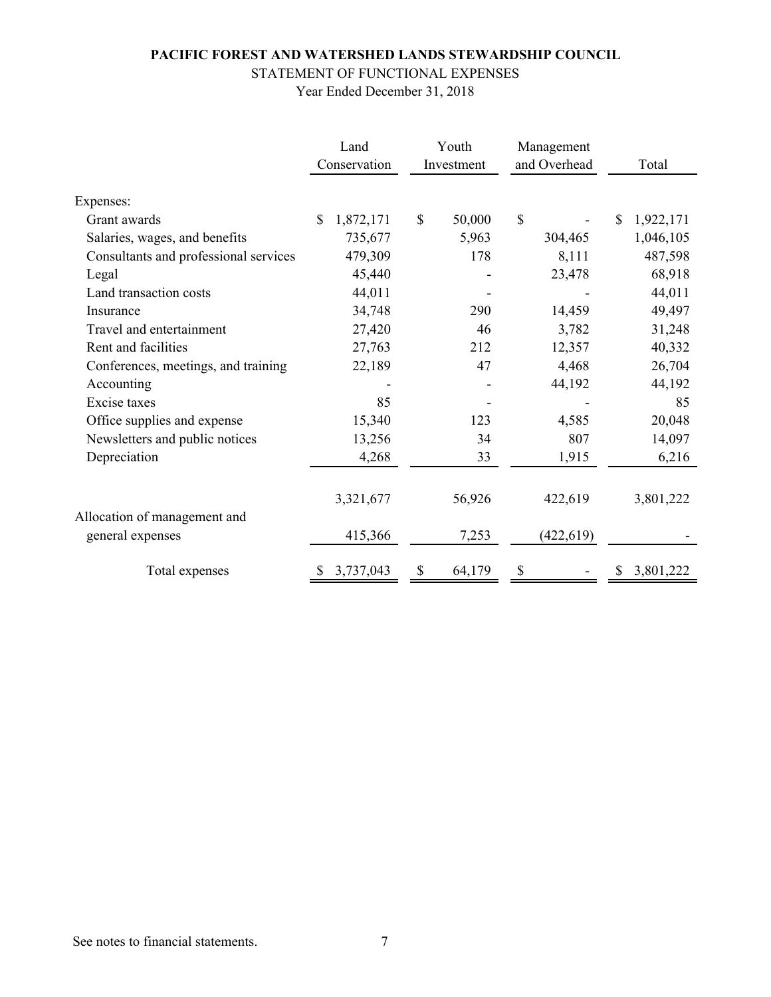# STATEMENT OF FUNCTIONAL EXPENSES

|                                       | Land                     | Youth                  | Management   |                |
|---------------------------------------|--------------------------|------------------------|--------------|----------------|
|                                       | Conservation             | Investment             | and Overhead | Total          |
| Expenses:                             |                          |                        |              |                |
| Grant awards                          | $\mathbf S$<br>1,872,171 | $\mathbb{S}$<br>50,000 | \$           | 1,922,171<br>S |
| Salaries, wages, and benefits         | 735,677                  | 5,963                  | 304,465      | 1,046,105      |
| Consultants and professional services | 479,309                  | 178                    | 8,111        | 487,598        |
| Legal                                 | 45,440                   |                        | 23,478       | 68,918         |
| Land transaction costs                | 44,011                   |                        |              | 44,011         |
| Insurance                             | 34,748                   | 290                    | 14,459       | 49,497         |
| Travel and entertainment              | 27,420                   | 46                     | 3,782        | 31,248         |
| Rent and facilities                   | 27,763                   | 212                    | 12,357       | 40,332         |
| Conferences, meetings, and training   | 22,189                   | 47                     | 4,468        | 26,704         |
| Accounting                            |                          |                        | 44,192       | 44,192         |
| Excise taxes                          | 85                       |                        |              | 85             |
| Office supplies and expense           | 15,340                   | 123                    | 4,585        | 20,048         |
| Newsletters and public notices        | 13,256                   | 34                     | 807          | 14,097         |
| Depreciation                          | 4,268                    | 33                     | 1,915        | 6,216          |
|                                       | 3,321,677                | 56,926                 | 422,619      | 3,801,222      |
| Allocation of management and          |                          |                        |              |                |
| general expenses                      | 415,366                  | 7,253                  | (422, 619)   |                |
| Total expenses                        | 3,737,043<br>S           | 64,179<br>S            | \$           | 3,801,222      |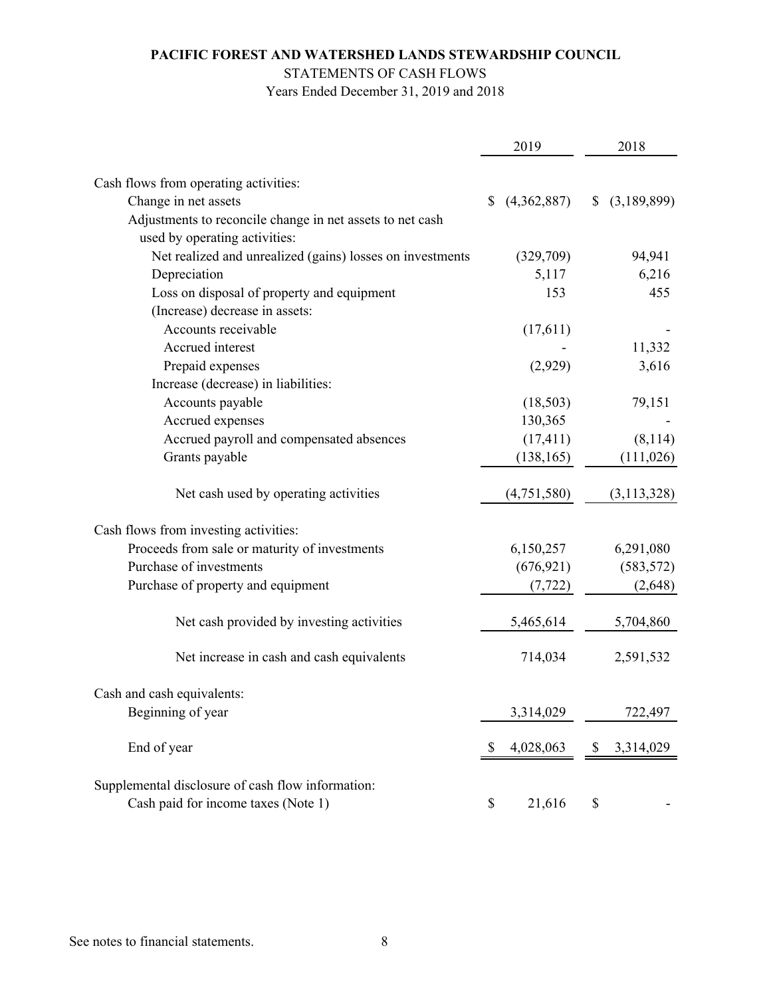## STATEMENTS OF CASH FLOWS

Years Ended December 31, 2019 and 2018

|                                                           | 2019              | 2018              |
|-----------------------------------------------------------|-------------------|-------------------|
|                                                           |                   |                   |
| Cash flows from operating activities:                     |                   |                   |
| Change in net assets                                      | (4,362,887)<br>\$ | (3,189,899)<br>\$ |
| Adjustments to reconcile change in net assets to net cash |                   |                   |
| used by operating activities:                             |                   |                   |
| Net realized and unrealized (gains) losses on investments | (329,709)         | 94,941            |
| Depreciation                                              | 5,117             | 6,216             |
| Loss on disposal of property and equipment                | 153               | 455               |
| (Increase) decrease in assets:                            |                   |                   |
| Accounts receivable                                       | (17,611)          |                   |
| Accrued interest                                          |                   | 11,332            |
| Prepaid expenses                                          | (2,929)           | 3,616             |
| Increase (decrease) in liabilities:                       |                   |                   |
| Accounts payable                                          | (18,503)          | 79,151            |
| Accrued expenses                                          | 130,365           |                   |
| Accrued payroll and compensated absences                  | (17, 411)         | (8,114)           |
| Grants payable                                            | (138, 165)        | (111, 026)        |
| Net cash used by operating activities                     | (4,751,580)       | (3,113,328)       |
| Cash flows from investing activities:                     |                   |                   |
| Proceeds from sale or maturity of investments             | 6,150,257         | 6,291,080         |
| Purchase of investments                                   | (676, 921)        | (583, 572)        |
| Purchase of property and equipment                        | (7, 722)          | (2,648)           |
| Net cash provided by investing activities                 | 5,465,614         | 5,704,860         |
| Net increase in cash and cash equivalents                 | 714,034           | 2,591,532         |
| Cash and cash equivalents:                                |                   |                   |
| Beginning of year                                         | 3,314,029         | 722,497           |
| End of year                                               | 4,028,063<br>S    | 3,314,029<br>\$   |
| Supplemental disclosure of cash flow information:         |                   |                   |
| Cash paid for income taxes (Note 1)                       | 21,616<br>\$      | \$                |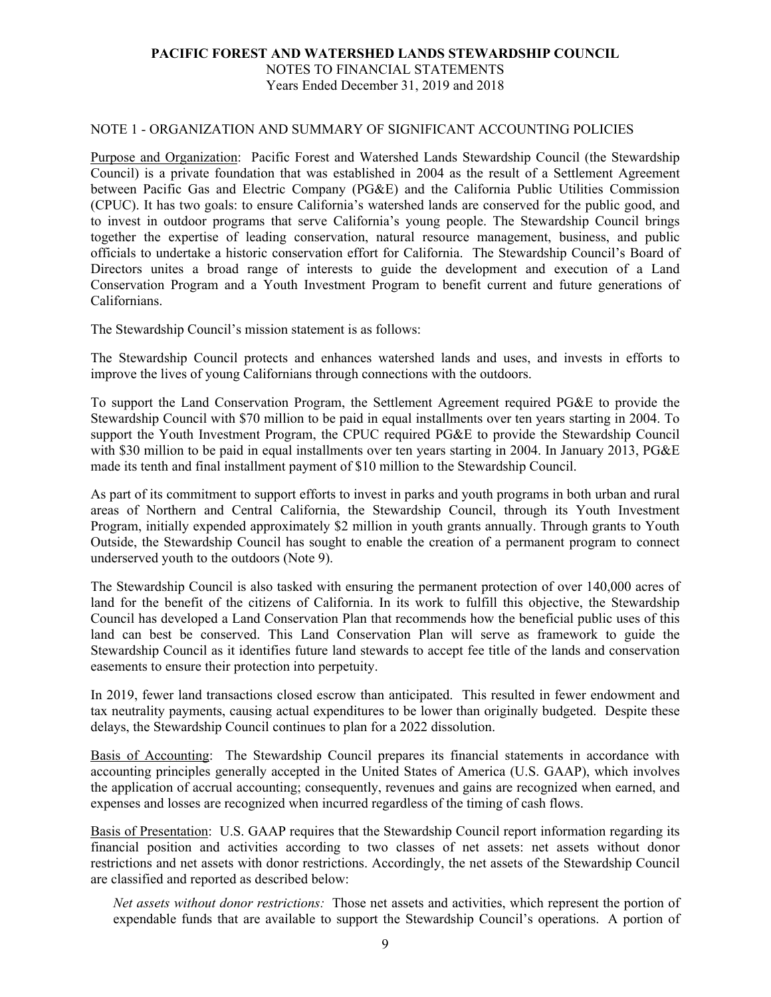NOTES TO FINANCIAL STATEMENTS Years Ended December 31, 2019 and 2018

#### NOTE 1 - ORGANIZATION AND SUMMARY OF SIGNIFICANT ACCOUNTING POLICIES

Purpose and Organization: Pacific Forest and Watershed Lands Stewardship Council (the Stewardship Council) is a private foundation that was established in 2004 as the result of a Settlement Agreement between Pacific Gas and Electric Company (PG&E) and the California Public Utilities Commission (CPUC). It has two goals: to ensure California's watershed lands are conserved for the public good, and to invest in outdoor programs that serve California's young people. The Stewardship Council brings together the expertise of leading conservation, natural resource management, business, and public officials to undertake a historic conservation effort for California. The Stewardship Council's Board of Directors unites a broad range of interests to guide the development and execution of a Land Conservation Program and a Youth Investment Program to benefit current and future generations of Californians.

The Stewardship Council's mission statement is as follows:

The Stewardship Council protects and enhances watershed lands and uses, and invests in efforts to improve the lives of young Californians through connections with the outdoors.

To support the Land Conservation Program, the Settlement Agreement required PG&E to provide the Stewardship Council with \$70 million to be paid in equal installments over ten years starting in 2004. To support the Youth Investment Program, the CPUC required PG&E to provide the Stewardship Council with \$30 million to be paid in equal installments over ten years starting in 2004. In January 2013, PG&E made its tenth and final installment payment of \$10 million to the Stewardship Council.

As part of its commitment to support efforts to invest in parks and youth programs in both urban and rural areas of Northern and Central California, the Stewardship Council, through its Youth Investment Program, initially expended approximately \$2 million in youth grants annually. Through grants to Youth Outside, the Stewardship Council has sought to enable the creation of a permanent program to connect underserved youth to the outdoors (Note 9).

The Stewardship Council is also tasked with ensuring the permanent protection of over 140,000 acres of land for the benefit of the citizens of California. In its work to fulfill this objective, the Stewardship Council has developed a Land Conservation Plan that recommends how the beneficial public uses of this land can best be conserved. This Land Conservation Plan will serve as framework to guide the Stewardship Council as it identifies future land stewards to accept fee title of the lands and conservation easements to ensure their protection into perpetuity.

In 2019, fewer land transactions closed escrow than anticipated. This resulted in fewer endowment and tax neutrality payments, causing actual expenditures to be lower than originally budgeted. Despite these delays, the Stewardship Council continues to plan for a 2022 dissolution.

Basis of Accounting: The Stewardship Council prepares its financial statements in accordance with accounting principles generally accepted in the United States of America (U.S. GAAP), which involves the application of accrual accounting; consequently, revenues and gains are recognized when earned, and expenses and losses are recognized when incurred regardless of the timing of cash flows.

Basis of Presentation: U.S. GAAP requires that the Stewardship Council report information regarding its financial position and activities according to two classes of net assets: net assets without donor restrictions and net assets with donor restrictions. Accordingly, the net assets of the Stewardship Council are classified and reported as described below:

*Net assets without donor restrictions:* Those net assets and activities, which represent the portion of expendable funds that are available to support the Stewardship Council's operations. A portion of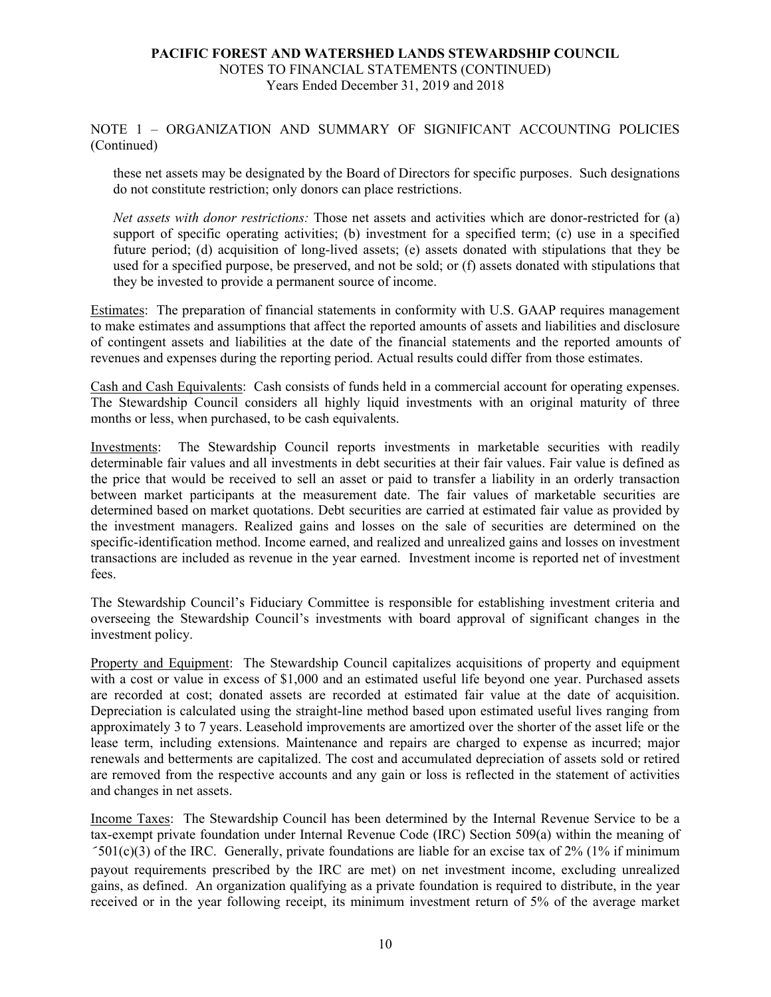#### NOTE 1 – ORGANIZATION AND SUMMARY OF SIGNIFICANT ACCOUNTING POLICIES (Continued)

these net assets may be designated by the Board of Directors for specific purposes. Such designations do not constitute restriction; only donors can place restrictions.

*Net assets with donor restrictions:* Those net assets and activities which are donor-restricted for (a) support of specific operating activities; (b) investment for a specified term; (c) use in a specified future period; (d) acquisition of long-lived assets; (e) assets donated with stipulations that they be used for a specified purpose, be preserved, and not be sold; or (f) assets donated with stipulations that they be invested to provide a permanent source of income.

Estimates: The preparation of financial statements in conformity with U.S. GAAP requires management to make estimates and assumptions that affect the reported amounts of assets and liabilities and disclosure of contingent assets and liabilities at the date of the financial statements and the reported amounts of revenues and expenses during the reporting period. Actual results could differ from those estimates.

Cash and Cash Equivalents: Cash consists of funds held in a commercial account for operating expenses. The Stewardship Council considers all highly liquid investments with an original maturity of three months or less, when purchased, to be cash equivalents.

Investments: The Stewardship Council reports investments in marketable securities with readily determinable fair values and all investments in debt securities at their fair values. Fair value is defined as the price that would be received to sell an asset or paid to transfer a liability in an orderly transaction between market participants at the measurement date. The fair values of marketable securities are determined based on market quotations. Debt securities are carried at estimated fair value as provided by the investment managers. Realized gains and losses on the sale of securities are determined on the specific-identification method. Income earned, and realized and unrealized gains and losses on investment transactions are included as revenue in the year earned. Investment income is reported net of investment fees.

The Stewardship Council's Fiduciary Committee is responsible for establishing investment criteria and overseeing the Stewardship Council's investments with board approval of significant changes in the investment policy.

Property and Equipment: The Stewardship Council capitalizes acquisitions of property and equipment with a cost or value in excess of \$1,000 and an estimated useful life beyond one year. Purchased assets are recorded at cost; donated assets are recorded at estimated fair value at the date of acquisition. Depreciation is calculated using the straight-line method based upon estimated useful lives ranging from approximately 3 to 7 years. Leasehold improvements are amortized over the shorter of the asset life or the lease term, including extensions. Maintenance and repairs are charged to expense as incurred; major renewals and betterments are capitalized. The cost and accumulated depreciation of assets sold or retired are removed from the respective accounts and any gain or loss is reflected in the statement of activities and changes in net assets.

Income Taxes: The Stewardship Council has been determined by the Internal Revenue Service to be a tax-exempt private foundation under Internal Revenue Code (IRC) Section 509(a) within the meaning of 501(c)(3) of the IRC. Generally, private foundations are liable for an excise tax of 2% (1% if minimum payout requirements prescribed by the IRC are met) on net investment income, excluding unrealized gains, as defined. An organization qualifying as a private foundation is required to distribute, in the year received or in the year following receipt, its minimum investment return of 5% of the average market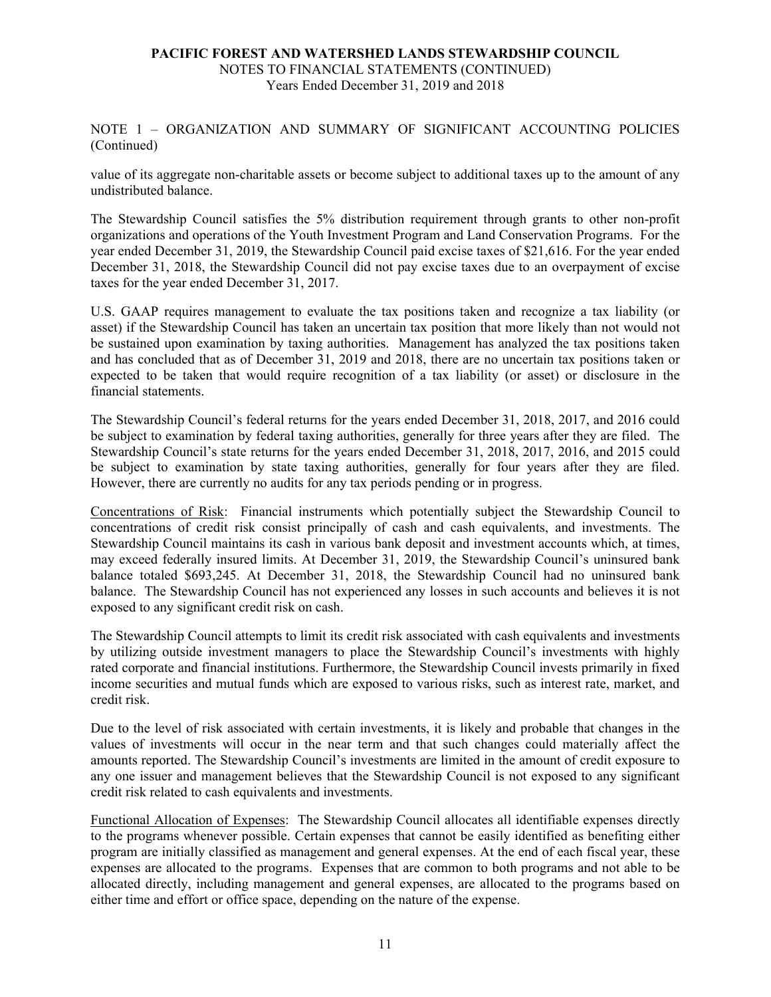NOTE 1 – ORGANIZATION AND SUMMARY OF SIGNIFICANT ACCOUNTING POLICIES (Continued)

value of its aggregate non-charitable assets or become subject to additional taxes up to the amount of any undistributed balance.

The Stewardship Council satisfies the 5% distribution requirement through grants to other non-profit organizations and operations of the Youth Investment Program and Land Conservation Programs. For the year ended December 31, 2019, the Stewardship Council paid excise taxes of \$21,616. For the year ended December 31, 2018, the Stewardship Council did not pay excise taxes due to an overpayment of excise taxes for the year ended December 31, 2017.

U.S. GAAP requires management to evaluate the tax positions taken and recognize a tax liability (or asset) if the Stewardship Council has taken an uncertain tax position that more likely than not would not be sustained upon examination by taxing authorities. Management has analyzed the tax positions taken and has concluded that as of December 31, 2019 and 2018, there are no uncertain tax positions taken or expected to be taken that would require recognition of a tax liability (or asset) or disclosure in the financial statements.

The Stewardship Council's federal returns for the years ended December 31, 2018, 2017, and 2016 could be subject to examination by federal taxing authorities, generally for three years after they are filed. The Stewardship Council's state returns for the years ended December 31, 2018, 2017, 2016, and 2015 could be subject to examination by state taxing authorities, generally for four years after they are filed. However, there are currently no audits for any tax periods pending or in progress.

Concentrations of Risk: Financial instruments which potentially subject the Stewardship Council to concentrations of credit risk consist principally of cash and cash equivalents, and investments. The Stewardship Council maintains its cash in various bank deposit and investment accounts which, at times, may exceed federally insured limits. At December 31, 2019, the Stewardship Council's uninsured bank balance totaled \$693,245. At December 31, 2018, the Stewardship Council had no uninsured bank balance. The Stewardship Council has not experienced any losses in such accounts and believes it is not exposed to any significant credit risk on cash.

The Stewardship Council attempts to limit its credit risk associated with cash equivalents and investments by utilizing outside investment managers to place the Stewardship Council's investments with highly rated corporate and financial institutions. Furthermore, the Stewardship Council invests primarily in fixed income securities and mutual funds which are exposed to various risks, such as interest rate, market, and credit risk.

Due to the level of risk associated with certain investments, it is likely and probable that changes in the values of investments will occur in the near term and that such changes could materially affect the amounts reported. The Stewardship Council's investments are limited in the amount of credit exposure to any one issuer and management believes that the Stewardship Council is not exposed to any significant credit risk related to cash equivalents and investments.

Functional Allocation of Expenses: The Stewardship Council allocates all identifiable expenses directly to the programs whenever possible. Certain expenses that cannot be easily identified as benefiting either program are initially classified as management and general expenses. At the end of each fiscal year, these expenses are allocated to the programs. Expenses that are common to both programs and not able to be allocated directly, including management and general expenses, are allocated to the programs based on either time and effort or office space, depending on the nature of the expense.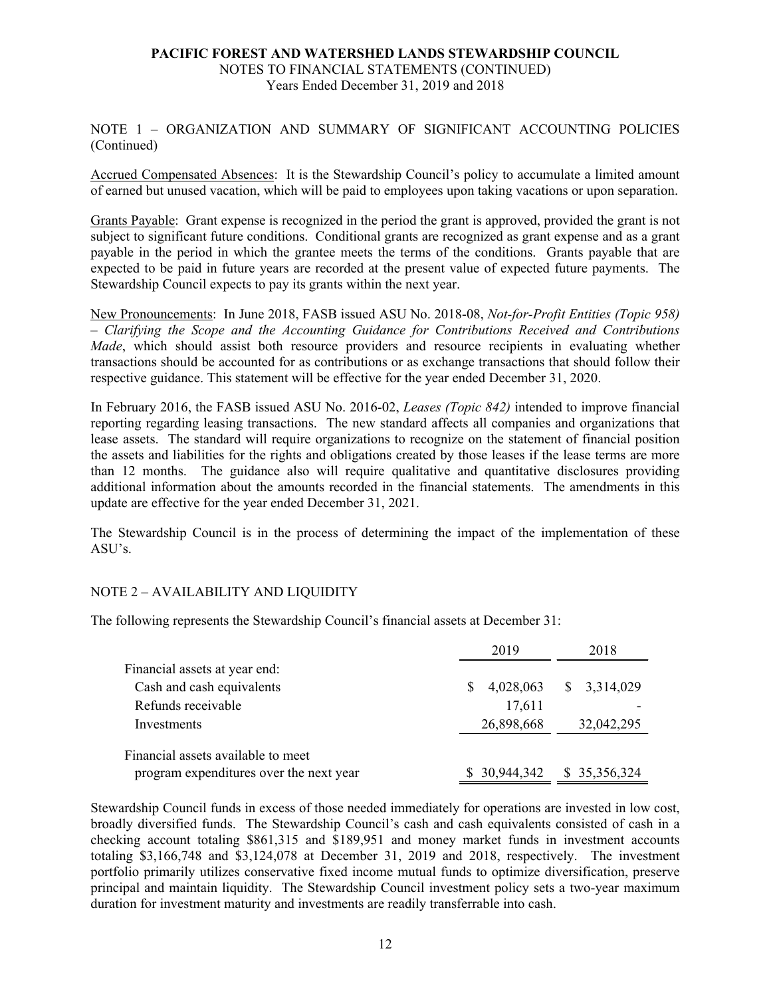NOTE 1 – ORGANIZATION AND SUMMARY OF SIGNIFICANT ACCOUNTING POLICIES (Continued)

Accrued Compensated Absences: It is the Stewardship Council's policy to accumulate a limited amount of earned but unused vacation, which will be paid to employees upon taking vacations or upon separation.

Grants Payable: Grant expense is recognized in the period the grant is approved, provided the grant is not subject to significant future conditions. Conditional grants are recognized as grant expense and as a grant payable in the period in which the grantee meets the terms of the conditions. Grants payable that are expected to be paid in future years are recorded at the present value of expected future payments. The Stewardship Council expects to pay its grants within the next year.

New Pronouncements: In June 2018, FASB issued ASU No. 2018-08, *Not-for-Profit Entities (Topic 958) – Clarifying the Scope and the Accounting Guidance for Contributions Received and Contributions Made*, which should assist both resource providers and resource recipients in evaluating whether transactions should be accounted for as contributions or as exchange transactions that should follow their respective guidance. This statement will be effective for the year ended December 31, 2020.

In February 2016, the FASB issued ASU No. 2016-02, *Leases (Topic 842)* intended to improve financial reporting regarding leasing transactions. The new standard affects all companies and organizations that lease assets. The standard will require organizations to recognize on the statement of financial position the assets and liabilities for the rights and obligations created by those leases if the lease terms are more than 12 months. The guidance also will require qualitative and quantitative disclosures providing additional information about the amounts recorded in the financial statements. The amendments in this update are effective for the year ended December 31, 2021.

The Stewardship Council is in the process of determining the impact of the implementation of these ASU's.

#### NOTE 2 – AVAILABILITY AND LIQUIDITY

The following represents the Stewardship Council's financial assets at December 31:

|                                         | 2019            | 2018          |  |
|-----------------------------------------|-----------------|---------------|--|
| Financial assets at year end:           |                 |               |  |
| Cash and cash equivalents               | 4,028,063<br>S. | \$3,314,029   |  |
| Refunds receivable                      | 17,611          |               |  |
| Investments                             | 26,898,668      | 32,042,295    |  |
| Financial assets available to meet      |                 |               |  |
| program expenditures over the next year | \$30,944,342    | \$ 35,356,324 |  |

Stewardship Council funds in excess of those needed immediately for operations are invested in low cost, broadly diversified funds. The Stewardship Council's cash and cash equivalents consisted of cash in a checking account totaling \$861,315 and \$189,951 and money market funds in investment accounts totaling \$3,166,748 and \$3,124,078 at December 31, 2019 and 2018, respectively. The investment portfolio primarily utilizes conservative fixed income mutual funds to optimize diversification, preserve principal and maintain liquidity. The Stewardship Council investment policy sets a two-year maximum duration for investment maturity and investments are readily transferrable into cash.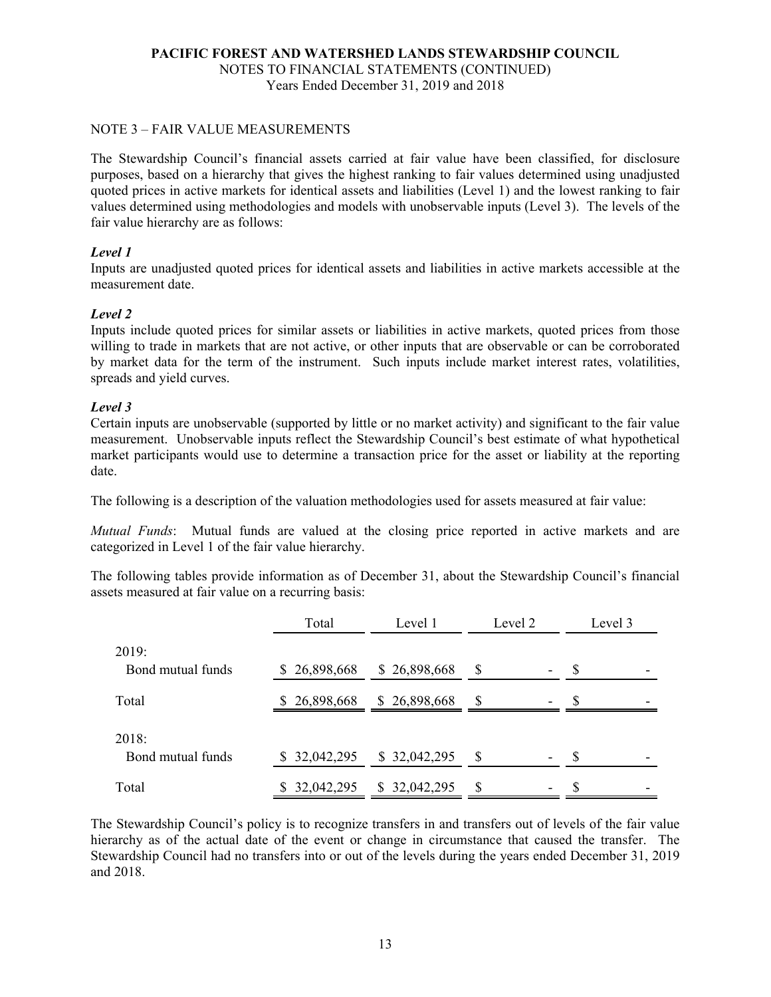#### NOTE 3 – FAIR VALUE MEASUREMENTS

The Stewardship Council's financial assets carried at fair value have been classified, for disclosure purposes, based on a hierarchy that gives the highest ranking to fair values determined using unadjusted quoted prices in active markets for identical assets and liabilities (Level 1) and the lowest ranking to fair values determined using methodologies and models with unobservable inputs (Level 3). The levels of the fair value hierarchy are as follows:

#### *Level 1*

Inputs are unadjusted quoted prices for identical assets and liabilities in active markets accessible at the measurement date.

#### *Level 2*

Inputs include quoted prices for similar assets or liabilities in active markets, quoted prices from those willing to trade in markets that are not active, or other inputs that are observable or can be corroborated by market data for the term of the instrument. Such inputs include market interest rates, volatilities, spreads and yield curves.

#### *Level 3*

Certain inputs are unobservable (supported by little or no market activity) and significant to the fair value measurement. Unobservable inputs reflect the Stewardship Council's best estimate of what hypothetical market participants would use to determine a transaction price for the asset or liability at the reporting date.

The following is a description of the valuation methodologies used for assets measured at fair value:

*Mutual Funds*: Mutual funds are valued at the closing price reported in active markets and are categorized in Level 1 of the fair value hierarchy.

The following tables provide information as of December 31, about the Stewardship Council's financial assets measured at fair value on a recurring basis:

|                            | Total            | Level 1          | Level 2  | Level 3 |
|----------------------------|------------------|------------------|----------|---------|
| 2019:<br>Bond mutual funds | \$26,898,668     | \$26,898,668     | <b>S</b> |         |
| Total                      | 26,898,668       | \$26,898,668     | S        |         |
| 2018:<br>Bond mutual funds | 32,042,295<br>S. | \$32,042,295     | S        |         |
| Total                      | 32,042,295<br>S. | 32,042,295<br>S. | S        |         |

The Stewardship Council's policy is to recognize transfers in and transfers out of levels of the fair value hierarchy as of the actual date of the event or change in circumstance that caused the transfer. The Stewardship Council had no transfers into or out of the levels during the years ended December 31, 2019 and 2018.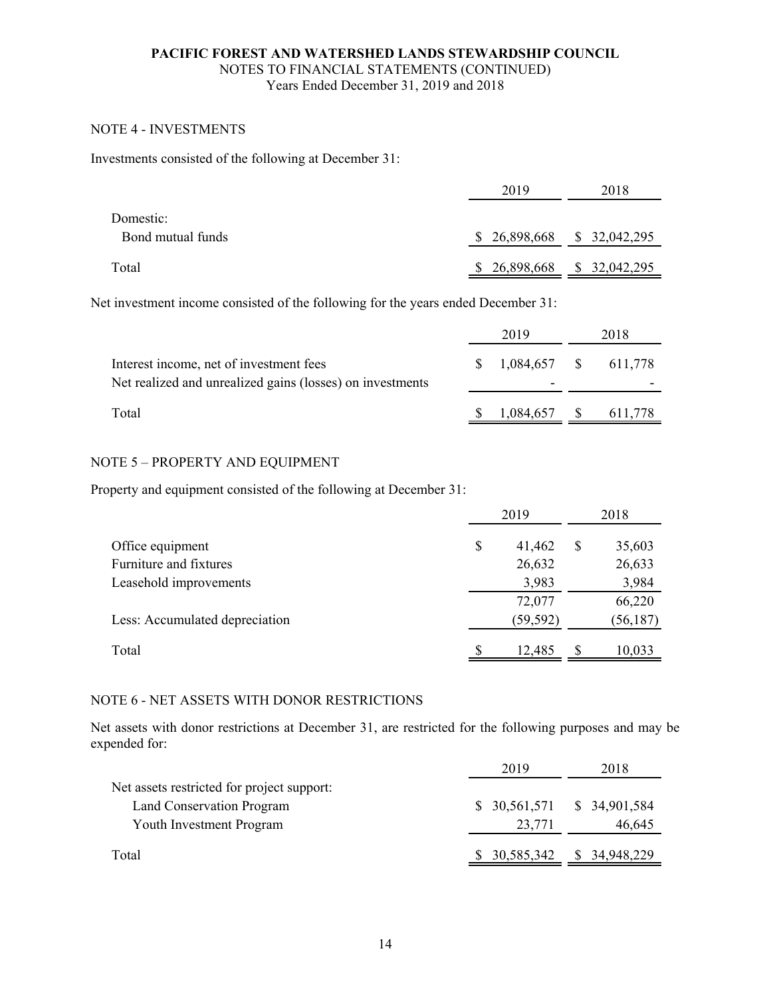#### NOTE 4 - INVESTMENTS

Investments consisted of the following at December 31:

|                                | 2019                        | 2018         |
|--------------------------------|-----------------------------|--------------|
| Domestic:<br>Bond mutual funds | $$26,898,668$ $$32,042,295$ |              |
| Total                          | \$26,898,668                | \$32,042,295 |

Net investment income consisted of the following for the years ended December 31:

|                                                                                                      | 2019 |                             | 2018 |  |
|------------------------------------------------------------------------------------------------------|------|-----------------------------|------|--|
| Interest income, net of investment fees<br>Net realized and unrealized gains (losses) on investments | S.   | $1,084,657$ \$ 611,778<br>- |      |  |
| Total                                                                                                |      | 1,084,657                   |      |  |

#### NOTE 5 – PROPERTY AND EQUIPMENT

Property and equipment consisted of the following at December 31:

|                                | 2019 |           | 2018 |           |
|--------------------------------|------|-----------|------|-----------|
| Office equipment               | \$   | 41,462    | S    | 35,603    |
| Furniture and fixtures         |      | 26,632    |      | 26,633    |
| Leasehold improvements         |      | 3,983     |      | 3,984     |
|                                |      | 72,077    |      | 66,220    |
| Less: Accumulated depreciation |      | (59, 592) |      | (56, 187) |
| Total                          | S    | 12,485    |      | 10,033    |

#### NOTE 6 - NET ASSETS WITH DONOR RESTRICTIONS

Net assets with donor restrictions at December 31, are restricted for the following purposes and may be expended for:

|                                            | 2019                        | 2018          |
|--------------------------------------------|-----------------------------|---------------|
| Net assets restricted for project support: |                             |               |
| Land Conservation Program                  | $$30,561,571$ $$34,901,584$ |               |
| <b>Youth Investment Program</b>            | 23,771                      | 46,645        |
| Total                                      | \$30,585,342                | \$ 34,948,229 |
|                                            |                             |               |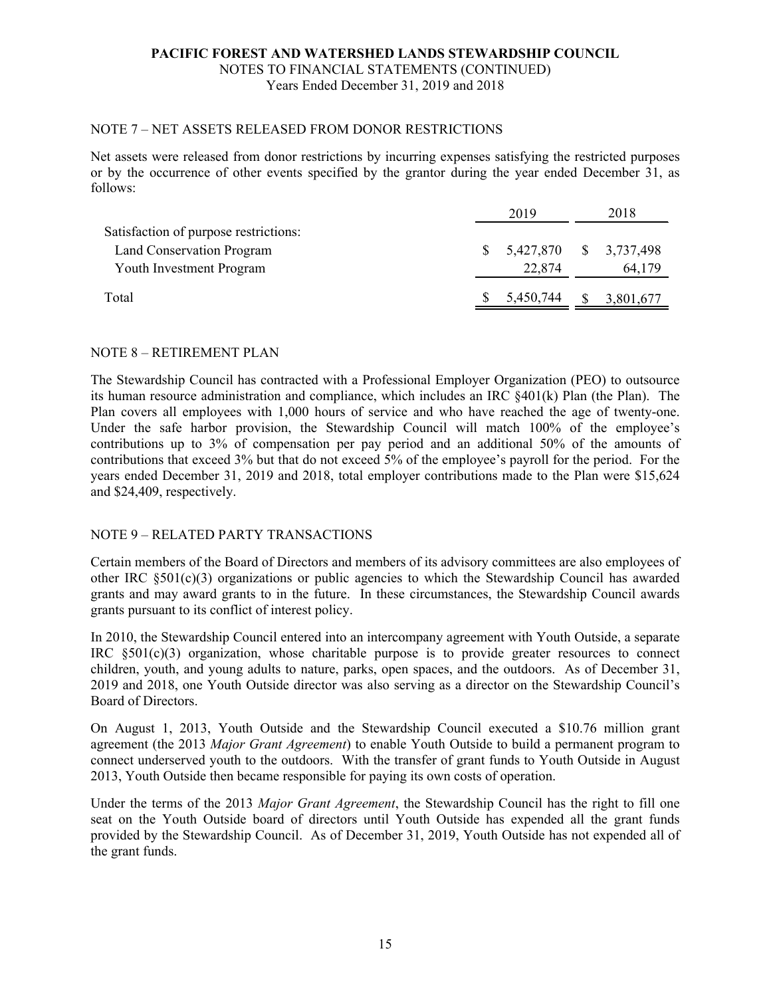NOTES TO FINANCIAL STATEMENTS (CONTINUED) Years Ended December 31, 2019 and 2018

#### NOTE 7 – NET ASSETS RELEASED FROM DONOR RESTRICTIONS

Net assets were released from donor restrictions by incurring expenses satisfying the restricted purposes or by the occurrence of other events specified by the grantor during the year ended December 31, as follows:

|                                       | 2019 |                        |               | 2018      |  |
|---------------------------------------|------|------------------------|---------------|-----------|--|
| Satisfaction of purpose restrictions: |      |                        |               |           |  |
| Land Conservation Program             | -S   | 5,427,870 \$ 3,737,498 |               |           |  |
| Youth Investment Program              |      | 22,874                 |               | 64,179    |  |
| Total                                 |      | 5,450,744              | <sup>\$</sup> | 3,801,677 |  |

#### NOTE 8 – RETIREMENT PLAN

The Stewardship Council has contracted with a Professional Employer Organization (PEO) to outsource its human resource administration and compliance, which includes an IRC §401(k) Plan (the Plan). The Plan covers all employees with 1,000 hours of service and who have reached the age of twenty-one. Under the safe harbor provision, the Stewardship Council will match 100% of the employee's contributions up to 3% of compensation per pay period and an additional 50% of the amounts of contributions that exceed 3% but that do not exceed 5% of the employee's payroll for the period. For the years ended December 31, 2019 and 2018, total employer contributions made to the Plan were \$15,624 and \$24,409, respectively.

#### NOTE 9 – RELATED PARTY TRANSACTIONS

Certain members of the Board of Directors and members of its advisory committees are also employees of other IRC  $\S501(c)(3)$  organizations or public agencies to which the Stewardship Council has awarded grants and may award grants to in the future. In these circumstances, the Stewardship Council awards grants pursuant to its conflict of interest policy.

In 2010, the Stewardship Council entered into an intercompany agreement with Youth Outside, a separate IRC §501(c)(3) organization, whose charitable purpose is to provide greater resources to connect children, youth, and young adults to nature, parks, open spaces, and the outdoors. As of December 31, 2019 and 2018, one Youth Outside director was also serving as a director on the Stewardship Council's Board of Directors.

On August 1, 2013, Youth Outside and the Stewardship Council executed a \$10.76 million grant agreement (the 2013 *Major Grant Agreement*) to enable Youth Outside to build a permanent program to connect underserved youth to the outdoors. With the transfer of grant funds to Youth Outside in August 2013, Youth Outside then became responsible for paying its own costs of operation.

Under the terms of the 2013 *Major Grant Agreement*, the Stewardship Council has the right to fill one seat on the Youth Outside board of directors until Youth Outside has expended all the grant funds provided by the Stewardship Council. As of December 31, 2019, Youth Outside has not expended all of the grant funds.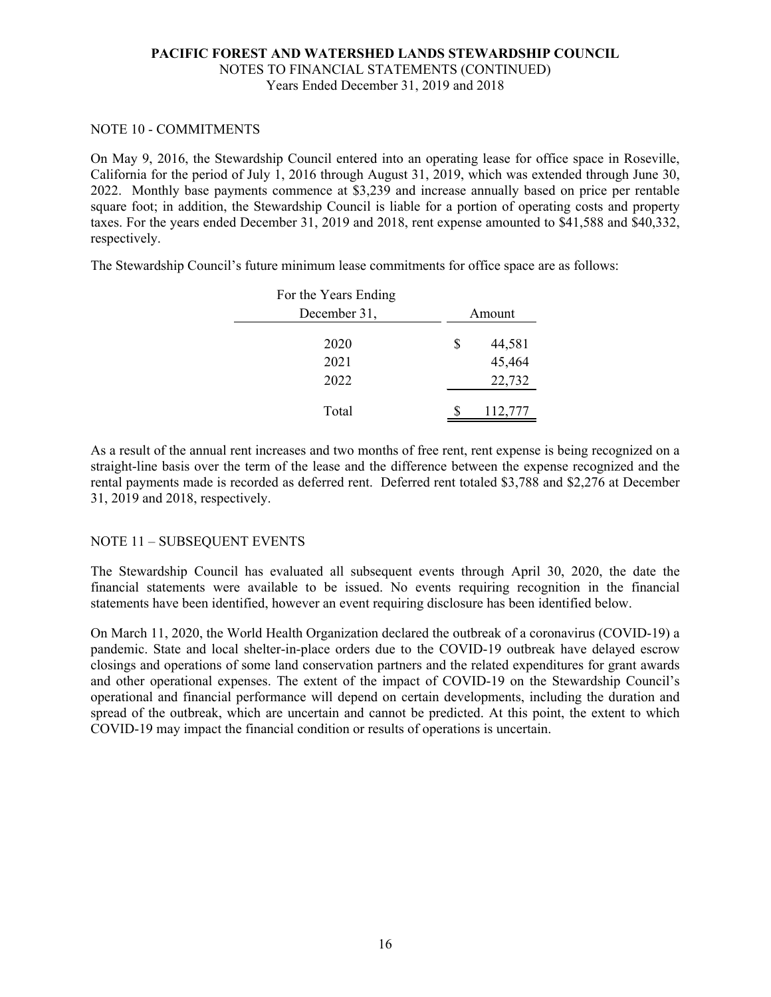#### NOTE 10 - COMMITMENTS

On May 9, 2016, the Stewardship Council entered into an operating lease for office space in Roseville, California for the period of July 1, 2016 through August 31, 2019, which was extended through June 30, 2022. Monthly base payments commence at \$3,239 and increase annually based on price per rentable square foot; in addition, the Stewardship Council is liable for a portion of operating costs and property taxes. For the years ended December 31, 2019 and 2018, rent expense amounted to \$41,588 and \$40,332, respectively.

The Stewardship Council's future minimum lease commitments for office space are as follows:

| For the Years Ending |   |         |  |  |
|----------------------|---|---------|--|--|
| December 31,         |   | Amount  |  |  |
| 2020                 | S | 44,581  |  |  |
| 2021                 |   | 45,464  |  |  |
| 2022                 |   | 22,732  |  |  |
| Total                |   | 112,777 |  |  |

As a result of the annual rent increases and two months of free rent, rent expense is being recognized on a straight-line basis over the term of the lease and the difference between the expense recognized and the rental payments made is recorded as deferred rent. Deferred rent totaled \$3,788 and \$2,276 at December 31, 2019 and 2018, respectively.

#### NOTE 11 – SUBSEQUENT EVENTS

The Stewardship Council has evaluated all subsequent events through April 30, 2020, the date the financial statements were available to be issued. No events requiring recognition in the financial statements have been identified, however an event requiring disclosure has been identified below.

On March 11, 2020, the World Health Organization declared the outbreak of a coronavirus (COVID-19) a pandemic. State and local shelter-in-place orders due to the COVID-19 outbreak have delayed escrow closings and operations of some land conservation partners and the related expenditures for grant awards and other operational expenses. The extent of the impact of COVID-19 on the Stewardship Council's operational and financial performance will depend on certain developments, including the duration and spread of the outbreak, which are uncertain and cannot be predicted. At this point, the extent to which COVID-19 may impact the financial condition or results of operations is uncertain.